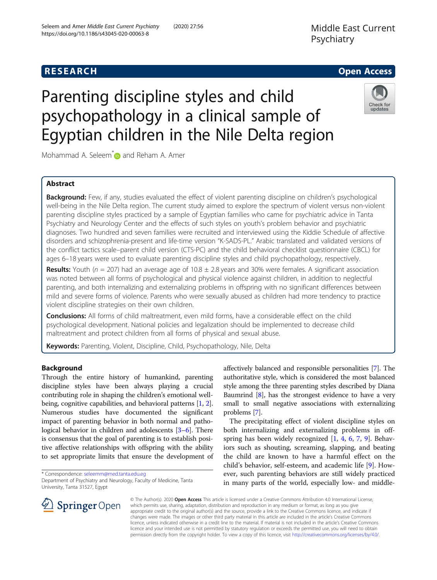# **RESEARCH CHE Open Access**

# Parenting discipline styles and child psychopathology in a clinical sample of Egyptian children in the Nile Delta region



Mohammad A. Seleem<sup>[\\*](https://orcid.org/0000-0001-9926-0686)</sup> and Reham A. Amer

# Abstract

Background: Few, if any, studies evaluated the effect of violent parenting discipline on children's psychological well-being in the Nile Delta region. The current study aimed to explore the spectrum of violent versus non-violent parenting discipline styles practiced by a sample of Egyptian families who came for psychiatric advice in Tanta Psychiatry and Neurology Center and the effects of such styles on youth's problem behavior and psychiatric diagnoses. Two hundred and seven families were recruited and interviewed using the Kiddie Schedule of affective disorders and schizophrenia-present and life-time version "K-SADS-PL." Arabic translated and validated versions of the conflict tactics scale–parent child version (CTS-PC) and the child behavioral checklist questionnaire (CBCL) for ages 6–18 years were used to evaluate parenting discipline styles and child psychopathology, respectively.

**Results:** Youth ( $n = 207$ ) had an average age of 10.8  $\pm$  2.8 years and 30% were females. A significant association was noted between all forms of psychological and physical violence against children, in addition to neglectful parenting, and both internalizing and externalizing problems in offspring with no significant differences between mild and severe forms of violence. Parents who were sexually abused as children had more tendency to practice violent discipline strategies on their own children.

Conclusions: All forms of child maltreatment, even mild forms, have a considerable effect on the child psychological development. National policies and legalization should be implemented to decrease child maltreatment and protect children from all forms of physical and sexual abuse.

Keywords: Parenting, Violent, Discipline, Child, Psychopathology, Nile, Delta

# Background

Through the entire history of humankind, parenting discipline styles have been always playing a crucial contributing role in shaping the children's emotional wellbeing, cognitive capabilities, and behavioral patterns [[1,](#page-8-0) [2](#page-8-0)]. Numerous studies have documented the significant impact of parenting behavior in both normal and pathological behavior in children and adolescents [\[3](#page-8-0)–[6\]](#page-8-0). There is consensus that the goal of parenting is to establish positive affective relationships with offspring with the ability to set appropriate limits that ensure the development of

\* Correspondence: [seleemm@med.tanta.edu.eg](mailto:seleemm@med.tanta.edu.eg)

affectively balanced and responsible personalities [\[7\]](#page-9-0). The authoritative style, which is considered the most balanced style among the three parenting styles described by Diana Baumrind  $[8]$  $[8]$ , has the strongest evidence to have a very small to small negative associations with externalizing problems [[7\]](#page-9-0).

The precipitating effect of violent discipline styles on both internalizing and externalizing problems in offspring has been widely recognized  $[1, 4, 6, 7, 9]$  $[1, 4, 6, 7, 9]$  $[1, 4, 6, 7, 9]$  $[1, 4, 6, 7, 9]$  $[1, 4, 6, 7, 9]$  $[1, 4, 6, 7, 9]$  $[1, 4, 6, 7, 9]$  $[1, 4, 6, 7, 9]$  $[1, 4, 6, 7, 9]$ . Behaviors such as shouting, screaming, slapping, and beating the child are known to have a harmful effect on the child's behavior, self-esteem, and academic life [\[9](#page-9-0)]. However, such parenting behaviors are still widely practiced in many parts of the world, especially low- and middle-



© The Author(s). 2020 Open Access This article is licensed under a Creative Commons Attribution 4.0 International License, which permits use, sharing, adaptation, distribution and reproduction in any medium or format, as long as you give appropriate credit to the original author(s) and the source, provide a link to the Creative Commons licence, and indicate if changes were made. The images or other third party material in this article are included in the article's Creative Commons licence, unless indicated otherwise in a credit line to the material. If material is not included in the article's Creative Commons licence and your intended use is not permitted by statutory regulation or exceeds the permitted use, you will need to obtain permission directly from the copyright holder. To view a copy of this licence, visit <http://creativecommons.org/licenses/by/4.0/>.

Department of Psychiatry and Neurology, Faculty of Medicine, Tanta University, Tanta 31527, Egypt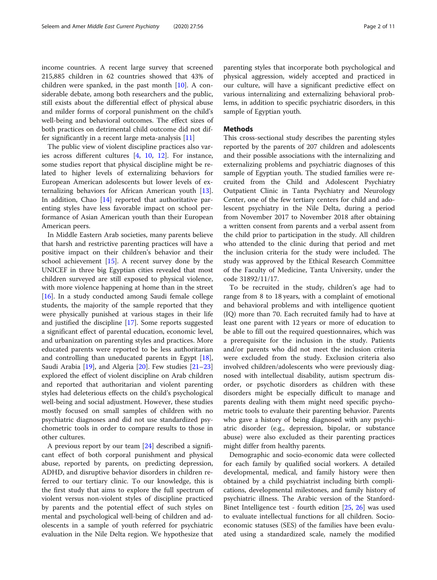income countries. A recent large survey that screened 215,885 children in 62 countries showed that 43% of children were spanked, in the past month [[10](#page-9-0)]. A considerable debate, among both researchers and the public, still exists about the differential effect of physical abuse and milder forms of corporal punishment on the child's well-being and behavioral outcomes. The effect sizes of both practices on detrimental child outcome did not differ significantly in a recent large meta-analysis [[11\]](#page-9-0)

The public view of violent discipline practices also varies across different cultures [[4,](#page-8-0) [10](#page-9-0), [12\]](#page-9-0). For instance, some studies report that physical discipline might be related to higher levels of externalizing behaviors for European American adolescents but lower levels of externalizing behaviors for African American youth [\[13](#page-9-0)]. In addition, Chao [[14](#page-9-0)] reported that authoritative parenting styles have less favorable impact on school performance of Asian American youth than their European American peers.

In Middle Eastern Arab societies, many parents believe that harsh and restrictive parenting practices will have a positive impact on their children's behavior and their school achievement [[15](#page-9-0)]. A recent survey done by the UNICEF in three big Egyptian cities revealed that most children surveyed are still exposed to physical violence, with more violence happening at home than in the street [ $16$ ]. In a study conducted among Saudi female college students, the majority of the sample reported that they were physically punished at various stages in their life and justified the discipline [\[17](#page-9-0)]. Some reports suggested a significant effect of parental education, economic level, and urbanization on parenting styles and practices. More educated parents were reported to be less authoritarian and controlling than uneducated parents in Egypt [\[18](#page-9-0)], Saudi Arabia [\[19\]](#page-9-0), and Algeria [[20\]](#page-9-0). Few studies [[21](#page-9-0)–[23](#page-9-0)] explored the effect of violent discipline on Arab children and reported that authoritarian and violent parenting styles had deleterious effects on the child's psychological well-being and social adjustment. However, these studies mostly focused on small samples of children with no psychiatric diagnoses and did not use standardized psychometric tools in order to compare results to those in other cultures.

A previous report by our team [\[24\]](#page-9-0) described a significant effect of both corporal punishment and physical abuse, reported by parents, on predicting depression, ADHD, and disruptive behavior disorders in children referred to our tertiary clinic. To our knowledge, this is the first study that aims to explore the full spectrum of violent versus non-violent styles of discipline practiced by parents and the potential effect of such styles on mental and psychological well-being of children and adolescents in a sample of youth referred for psychiatric evaluation in the Nile Delta region. We hypothesize that parenting styles that incorporate both psychological and physical aggression, widely accepted and practiced in our culture, will have a significant predictive effect on various internalizing and externalizing behavioral problems, in addition to specific psychiatric disorders, in this sample of Egyptian youth.

### Methods

This cross-sectional study describes the parenting styles reported by the parents of 207 children and adolescents and their possible associations with the internalizing and externalizing problems and psychiatric diagnoses of this sample of Egyptian youth. The studied families were recruited from the Child and Adolescent Psychiatry Outpatient Clinic in Tanta Psychiatry and Neurology Center, one of the few tertiary centers for child and adolescent psychiatry in the Nile Delta, during a period from November 2017 to November 2018 after obtaining a written consent from parents and a verbal assent from the child prior to participation in the study. All children who attended to the clinic during that period and met the inclusion criteria for the study were included. The study was approved by the Ethical Research Committee of the Faculty of Medicine, Tanta University, under the code 31892/11/17.

To be recruited in the study, children's age had to range from 8 to 18 years, with a complaint of emotional and behavioral problems and with intelligence quotient (IQ) more than 70. Each recruited family had to have at least one parent with 12 years or more of education to be able to fill out the required questionnaires, which was a prerequisite for the inclusion in the study. Patients and/or parents who did not meet the inclusion criteria were excluded from the study. Exclusion criteria also involved children/adolescents who were previously diagnosed with intellectual disability, autism spectrum disorder, or psychotic disorders as children with these disorders might be especially difficult to manage and parents dealing with them might need specific psychometric tools to evaluate their parenting behavior. Parents who gave a history of being diagnosed with any psychiatric disorder (e.g., depression, bipolar, or substance abuse) were also excluded as their parenting practices might differ from healthy parents.

Demographic and socio-economic data were collected for each family by qualified social workers. A detailed developmental, medical, and family history were then obtained by a child psychiatrist including birth complications, developmental milestones, and family history of psychiatric illness. The Arabic version of the Stanford-Binet Intelligence test - fourth edition [\[25](#page-9-0), [26\]](#page-9-0) was used to evaluate intellectual functions for all children. Socioeconomic statuses (SES) of the families have been evaluated using a standardized scale, namely the modified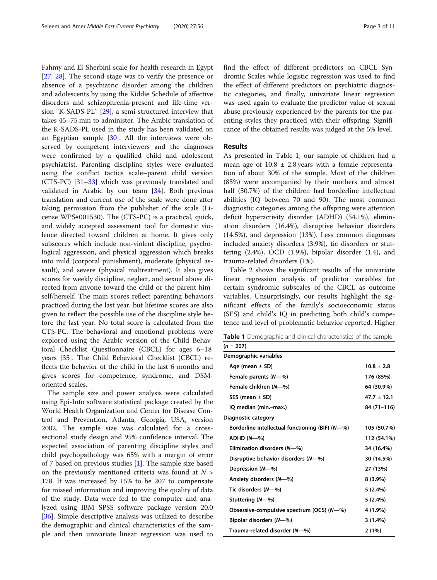Fahmy and El-Sherbini scale for health research in Egypt [[27,](#page-9-0) [28](#page-9-0)]. The second stage was to verify the presence or absence of a psychiatric disorder among the children and adolescents by using the Kiddie Schedule of affective disorders and schizophrenia-present and life-time version "K-SADS-PL" [\[29](#page-9-0)], a semi-structured interview that takes 45–75 min to administer. The Arabic translation of the K-SADS-PL used in the study has been validated on an Egyptian sample [\[30](#page-9-0)]. All the interviews were observed by competent interviewers and the diagnoses were confirmed by a qualified child and adolescent psychiatrist. Parenting discipline styles were evaluated using the conflict tactics scale–parent child version (CTS-PC) [\[31](#page-9-0)–[33\]](#page-9-0) which was previously translated and validated in Arabic by our team [[34\]](#page-9-0). Both previous translation and current use of the scale were done after taking permission from the publisher of the scale (License WPS#001530). The (CTS-PC) is a practical, quick, and widely accepted assessment tool for domestic violence directed toward children at home. It gives only subscores which include non-violent discipline, psychological aggression, and physical aggression which breaks into mild (corporal punishment), moderate (physical assault), and severe (physical maltreatment). It also gives scores for weekly discipline, neglect, and sexual abuse directed from anyone toward the child or the parent himself/herself. The main scores reflect parenting behaviors practiced during the last year, but lifetime scores are also given to reflect the possible use of the discipline style before the last year. No total score is calculated from the CTS-PC. The behavioral and emotional problems were explored using the Arabic version of the Child Behavioral Checklist Questionnaire (CBCL) for ages 6–18 years [\[35](#page-9-0)]. The Child Behavioral Checklist (CBCL) reflects the behavior of the child in the last 6 months and gives scores for competence, syndrome, and DSMoriented scales.

The sample size and power analysis were calculated using Epi-Info software statistical package created by the World Health Organization and Center for Disease Control and Prevention, Atlanta, Georgia, USA, version 2002. The sample size was calculated for a crosssectional study design and 95% confidence interval. The expected association of parenting discipline styles and child psychopathology was 65% with a margin of error of 7 based on previous studies [\[1](#page-8-0)]. The sample size based on the previously mentioned criteria was found at  $N >$ 178. It was increased by 15% to be 207 to compensate for missed information and improving the quality of data of the study. Data were fed to the computer and analyzed using IBM SPSS software package version 20.0 [[36\]](#page-9-0). Simple descriptive analysis was utilized to describe the demographic and clinical characteristics of the sample and then univariate linear regression was used to find the effect of different predictors on CBCL Syndromic Scales while logistic regression was used to find the effect of different predictors on psychiatric diagnostic categories, and finally, univariate linear regression was used again to evaluate the predictor value of sexual abuse previously experienced by the parents for the parenting styles they practiced with their offspring. Significance of the obtained results was judged at the 5% level.

#### Results

As presented in Table 1, our sample of children had a mean age of  $10.8 \pm 2.8$  years with a female representation of about 30% of the sample. Most of the children (85%) were accompanied by their mothers and almost half (50.7%) of the children had borderline intellectual abilities (IQ between 70 and 90). The most common diagnostic categories among the offspring were attention deficit hyperactivity disorder (ADHD) (54.1%), elimination disorders (16.4%), disruptive behavior disorders (14.5%), and depression (13%). Less common diagnoses included anxiety disorders (3.9%), tic disorders or stuttering (2.4%), OCD (1.9%), bipolar disorder (1.4), and trauma-related disorders (1%).

Table [2](#page-3-0) shows the significant results of the univariate linear regression analysis of predictor variables for certain syndromic subscales of the CBCL as outcome variables. Unsurprisingly, our results highlight the significant effects of the family's socioeconomic status (SES) and child's IQ in predicting both child's competence and level of problematic behavior reported. Higher

Table 1 Demographic and clinical characteristics of the sample  $(n = 207)$ 

| Demographic variables                           |                 |
|-------------------------------------------------|-----------------|
| Age (mean $\pm$ SD)                             | $10.8 \pm 2.8$  |
| Female parents (N-%)                            | 176 (85%)       |
| Female children (N-%)                           | 64 (30.9%)      |
| SES (mean $\pm$ SD)                             | $47.7 \pm 12.1$ |
| IQ median (min.-max.)                           | 84 (71-116)     |
| Diagnostic category                             |                 |
| Borderline intellectual functioning (BIF) (N-%) | 105 (50.7%)     |
| $ADHD(N-%)$                                     | 112 (54.1%)     |
| Elimination disorders (N-%)                     | 34 (16.4%)      |
| Disruptive behavior disorders (N-%)             | 30 (14.5%)      |
| Depression (N-%)                                | 27 (13%)        |
| Anxiety disorders (N-%)                         | $8(3.9\%)$      |
| Tic disorders (N-%)                             | 5 (2.4%)        |
| Stuttering (N-%)                                | 5 (2.4%)        |
| Obsessive-compulsive spectrum (OCS) (N-%)       | 4 (1.9%)        |
| Bipolar disorders (N-%)                         | 3(1.4%)         |
| Trauma-related disorder (N-%)                   | 2(1%)           |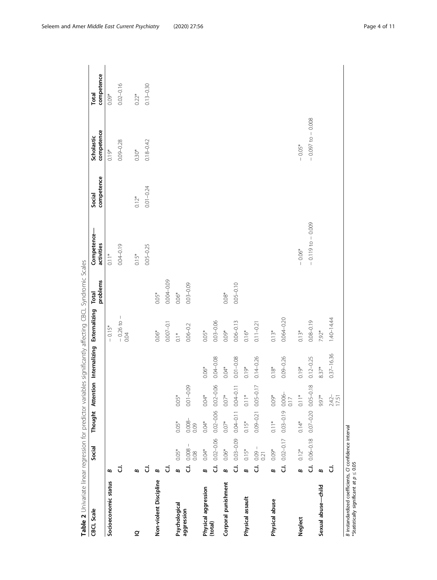<span id="page-3-0"></span>

| Table 2 Univariate linear regression for predictor variables significantly affecting CBCL Syndromic Scales |                       |                               |                                                       |                   |                                                     |                           |               |                           |                      |                          |                     |
|------------------------------------------------------------------------------------------------------------|-----------------------|-------------------------------|-------------------------------------------------------|-------------------|-----------------------------------------------------|---------------------------|---------------|---------------------------|----------------------|--------------------------|---------------------|
| <b>CBCL Scale</b>                                                                                          |                       | Social                        |                                                       |                   | Thought Attention Internalizing Externalizing Total |                           | problems      | Competence-<br>activities | competence<br>Social | competence<br>Scholastic | competence<br>Total |
| Socioeconomic status                                                                                       | B                     |                               |                                                       |                   |                                                     | $-0.15*$                  |               | $0.11*$                   |                      | $0.19*$                  | $0.09*$             |
|                                                                                                            |                       |                               |                                                       |                   |                                                     | $-0.26 \text{ to } -0.04$ |               | $0.04 - 0.19$             |                      | $0.09 - 0.28$            | $0.02 - 0.16$       |
| $\overline{\mathbf{C}}$                                                                                    | ε                     |                               |                                                       |                   |                                                     |                           |               | $0.15*$                   | $0.12*$              | $0.30*$                  | $0.22*$             |
|                                                                                                            | J                     |                               |                                                       |                   |                                                     |                           |               | $0.05 - 0.25$             | $0.01 - 0.24$        | $0.18 - 0.42$            | $0.13 - 0.30$       |
| Non-violent Discipline                                                                                     | ∞                     |                               |                                                       |                   |                                                     | $0.06*$                   | $0.05*$       |                           |                      |                          |                     |
|                                                                                                            | J                     |                               |                                                       |                   |                                                     | $0.007 - 0.1$             | 0.004-0.09    |                           |                      |                          |                     |
| Psychological                                                                                              | B                     | $0.05*$                       | $0.05*$                                               | $0.05*$           |                                                     | $0.1*$                    | $0.06*$       |                           |                      |                          |                     |
| aggression                                                                                                 | Ġ                     | $\lvert$<br>$0.008 -$<br>0.08 | $0.008 -$<br>0.09                                     | $0.01 - 0.09$     |                                                     | $0.06 - 0.2$              | $0.03 - 0.09$ |                           |                      |                          |                     |
| Physical aggression<br>(total)                                                                             | $\boldsymbol{\omega}$ | $0.04*$                       | $0.04*$                                               | $0.04*$           | $0.06*$                                             | $0.05*$                   |               |                           |                      |                          |                     |
|                                                                                                            | ಕ                     | $0.02 - 0.06$                 | $0.02 - 0.06$                                         | $0.02 - 0.06$     | $0.04 - 0.08$                                       | $0.03 - 0.06$             |               |                           |                      |                          |                     |
| Corporal punishment                                                                                        | $\mathbf{a}$          | $0.06*$                       | $0.07$                                                | $0.07*$           | $0.04*$                                             | $0.09*$                   | $0.08*$       |                           |                      |                          |                     |
|                                                                                                            | .<br>ت                | $0.03 - 0.09$                 | $0.04 - 0.11$                                         | $0.04 - 0.11$     | $0.01 - 0.08$                                       | $0.06 - 0.13$             | $0.05 - 0.10$ |                           |                      |                          |                     |
| Physical assault                                                                                           | B                     | $0.15*$                       | $0.15*$                                               | $0.11*$           | $0.19*$                                             | $0.16*$                   |               |                           |                      |                          |                     |
|                                                                                                            | Ġ                     | $0.09 - 0.01$                 | $0.09 - 0.21$                                         | $0.05 - 0.17$     | $0.14 - 0.26$                                       | $0.11 - 0.21$             |               |                           |                      |                          |                     |
| Physical abuse                                                                                             | ø                     | $0.09*$                       | $0.11$ *                                              | $0.09*$           | $0.18*$                                             | $0.13*$                   |               |                           |                      |                          |                     |
|                                                                                                            | Ġ                     | $0.02 - 0.17$                 | $0.03 - 0.19$                                         | $0.006 -$<br>0.17 | $0.09 - 0.26$                                       | $0.064 - 0.20$            |               |                           |                      |                          |                     |
| <b>Neglect</b>                                                                                             | B                     | $0.12*$                       | $0.14*$                                               | $0.11*$           | $0.19*$                                             | $0.13*$                   |               | $-0.06*$                  |                      | $-0.05*$                 |                     |
|                                                                                                            |                       |                               | <b>C.I.</b> $0.06 - 0.18$ $0.07 - 0.20$ $0.05 - 0.18$ |                   | $0.12 - 0.25$                                       | $0.08 - 0.19$             |               | $-0.119$ to $-0.009$      |                      | $-0.097$ to $-0.008$     |                     |
| Sexual abuse-child                                                                                         | ∞                     |                               |                                                       | 9.97*             | $8.37*$                                             | 7.92*                     |               |                           |                      |                          |                     |
|                                                                                                            | J                     |                               |                                                       | $2.42 -$<br>17.51 | $0.37 - 16.36$                                      | 1.40-14.44                |               |                           |                      |                          |                     |
| B instandardized coefficients, CI confidence interval<br>*Statistically significant at $p \leq 0.05$       |                       |                               |                                                       |                   |                                                     |                           |               |                           |                      |                          |                     |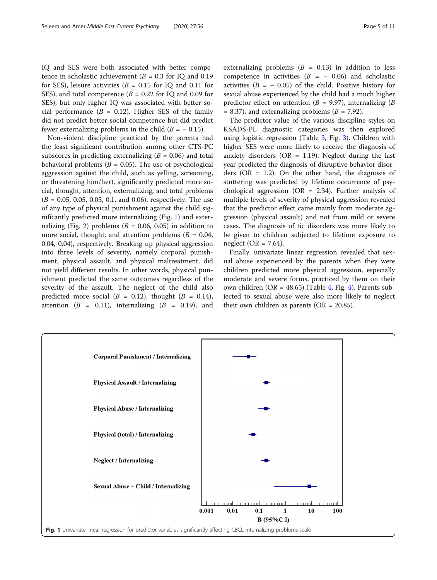IQ and SES were both associated with better competence in scholastic achievement ( $B = 0.3$  for IQ and 0.19 for SES), leisure activities ( $B = 0.15$  for IQ and 0.11 for SES), and total competence  $(B = 0.22$  for IQ and 0.09 for SES), but only higher IQ was associated with better social performance  $(B = 0.12)$ . Higher SES of the family did not predict better social competence but did predict fewer externalizing problems in the child  $(B = -0.15)$ .

Non-violent discipline practiced by the parents had the least significant contribution among other CTS-PC subscores in predicting externalizing  $(B = 0.06)$  and total behavioral problems ( $B = 0.05$ ). The use of psychological aggression against the child, such as yelling, screaming, or threatening him/her), significantly predicted more social, thought, attention, externalizing, and total problems  $(B = 0.05, 0.05, 0.05, 0.1,$  and 0.06), respectively. The use of any type of physical punishment against the child significantly predicted more internalizing (Fig. 1) and exter-nalizing (Fig. [2](#page-5-0)) problems ( $B = 0.06, 0.05$ ) in addition to more social, thought, and attention problems ( $B = 0.04$ , 0.04, 0.04), respectively. Breaking up physical aggression into three levels of severity, namely corporal punishment, physical assault, and physical maltreatment, did not yield different results. In other words, physical punishment predicted the same outcomes regardless of the severity of the assault. The neglect of the child also predicted more social  $(B = 0.12)$ , thought  $(B = 0.14)$ , attention  $(B = 0.11)$ , internalizing  $(B = 0.19)$ , and externalizing problems  $(B = 0.13)$  in addition to less competence in activities  $(B = -0.06)$  and scholastic activities ( $B = -0.05$ ) of the child. Positive history for sexual abuse experienced by the child had a much higher predictor effect on attention ( $B = 9.97$ ), internalizing ( $B$  $= 8.37$ ), and externalizing problems ( $B = 7.92$ ).

The predictor value of the various discipline styles on KSADS-PL diagnostic categories was then explored using logistic regression (Table [3](#page-5-0), Fig. [3](#page-6-0)). Children with higher SES were more likely to receive the diagnosis of anxiety disorders ( $OR = 1.19$ ). Neglect during the last year predicted the diagnosis of disruptive behavior disorders ( $OR = 1.2$ ). On the other hand, the diagnosis of stuttering was predicted by lifetime occurrence of psychological aggression (OR =  $2.34$ ). Further analysis of multiple levels of severity of physical aggression revealed that the predictor effect came mainly from moderate aggression (physical assault) and not from mild or severe cases. The diagnosis of tic disorders was more likely to be given to children subjected to lifetime exposure to neglect (OR =  $7.64$ ).

Finally, univariate linear regression revealed that sexual abuse experienced by the parents when they were children predicted more physical aggression, especially moderate and severe forms, practiced by them on their own children (OR =  $48.65$  $48.65$ ) (Table [4,](#page-6-0) Fig. 4). Parents subjected to sexual abuse were also more likely to neglect their own children as parents ( $OR = 20.85$ ).

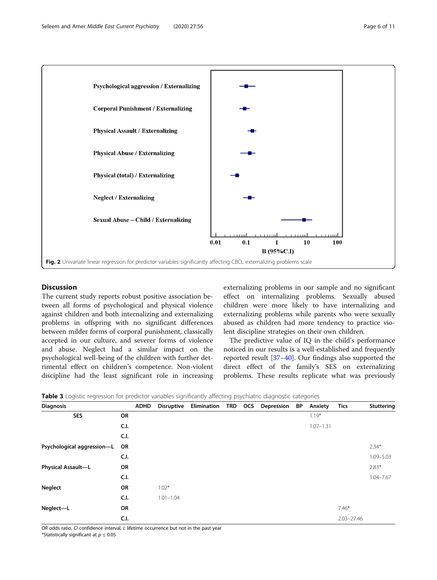<span id="page-5-0"></span>

# Discussion

The current study reports robust positive association between all forms of psychological and physical violence against children and both internalizing and externalizing problems in offspring with no significant differences between milder forms of corporal punishment, classically accepted in our culture, and severer forms of violence and abuse. Neglect had a similar impact on the psychological well-being of the children with further detrimental effect on children's competence. Non-violent discipline had the least significant role in increasing

externalizing problems in our sample and no significant effect on internalizing problems. Sexually abused children were more likely to have internalizing and externalizing problems while parents who were sexually abused as children had more tendency to practice violent discipline strategies on their own children.

The predictive value of IQ in the child's performance noticed in our results is a well-established and frequently reported result [\[37](#page-9-0)–[40\]](#page-9-0). Our findings also supported the direct effect of the family's SES on externalizing problems. These results replicate what was previously

| <b>Diagnosis</b>           |      | <b>ADHD</b> | <b>Disruptive</b> | Elimination | <b>TRD</b> | <b>OCS</b> | Depression | BP | Anxiety       | <b>Tics</b>    | Stuttering    |
|----------------------------|------|-------------|-------------------|-------------|------------|------------|------------|----|---------------|----------------|---------------|
| <b>SES</b>                 | OR   |             |                   |             |            |            |            |    | $1.19*$       |                |               |
|                            | C.I. |             |                   |             |            |            |            |    | $1.07 - 1.31$ |                |               |
|                            | C.I. |             |                   |             |            |            |            |    |               |                |               |
| Psychological aggression-L | OR   |             |                   |             |            |            |            |    |               |                | $2.34*$       |
|                            | C.I. |             |                   |             |            |            |            |    |               |                | $1.09 - 5.03$ |
| Physical Assault-L         | OR   |             |                   |             |            |            |            |    |               |                | $2.83*$       |
|                            | C.I. |             |                   |             |            |            |            |    |               |                | $1.04 - 7.67$ |
| Neglect                    | OR   |             | $1.02*$           |             |            |            |            |    |               |                |               |
|                            | C.I. |             | $1.01 - 1.04$     |             |            |            |            |    |               |                |               |
| Neglect-L                  | OR   |             |                   |             |            |            |            |    |               | $7.46*$        |               |
|                            | C.I. |             |                   |             |            |            |            |    |               | $2.03 - 27.46$ |               |

Table 3 Logistic regression for predictor variables significantly affecting psychiatric diagnostic categories

OR odds ratio, CI confidence interval, L lifetime occurrence but not in the past year

\*Statistically significant at  $p \leq 0.05$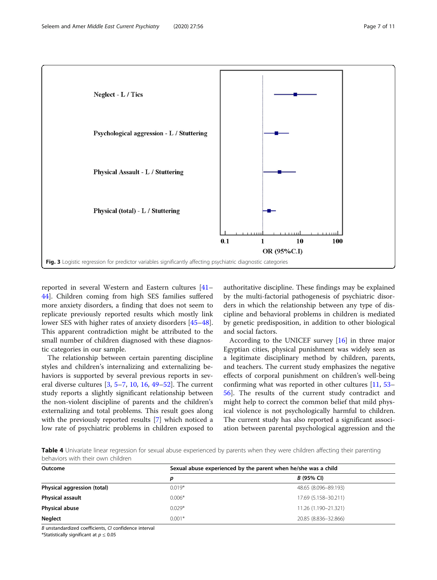<span id="page-6-0"></span>

reported in several Western and Eastern cultures [[41](#page-9-0)– [44\]](#page-9-0). Children coming from high SES families suffered more anxiety disorders, a finding that does not seem to replicate previously reported results which mostly link lower SES with higher rates of anxiety disorders [[45](#page-9-0)–[48](#page-9-0)]. This apparent contradiction might be attributed to the small number of children diagnosed with these diagnostic categories in our sample.

The relationship between certain parenting discipline styles and children's internalizing and externalizing behaviors is supported by several previous reports in several diverse cultures [[3](#page-8-0), [5](#page-8-0)–[7](#page-9-0), [10,](#page-9-0) [16,](#page-9-0) [49](#page-9-0)–[52\]](#page-9-0). The current study reports a slightly significant relationship between the non-violent discipline of parents and the children's externalizing and total problems. This result goes along with the previously reported results [\[7](#page-9-0)] which noticed a low rate of psychiatric problems in children exposed to

authoritative discipline. These findings may be explained by the multi-factorial pathogenesis of psychiatric disorders in which the relationship between any type of discipline and behavioral problems in children is mediated by genetic predisposition, in addition to other biological and social factors.

According to the UNICEF survey [[16\]](#page-9-0) in three major Egyptian cities, physical punishment was widely seen as a legitimate disciplinary method by children, parents, and teachers. The current study emphasizes the negative effects of corporal punishment on children's well-being confirming what was reported in other cultures [[11](#page-9-0), [53](#page-9-0)– [56\]](#page-9-0). The results of the current study contradict and might help to correct the common belief that mild physical violence is not psychologically harmful to children. The current study has also reported a significant association between parental psychological aggression and the

Table 4 Univariate linear regression for sexual abuse experienced by parents when they were children affecting their parenting behaviors with their own children

| Outcome                     | Sexual abuse experienced by the parent when he/she was a child |                      |  |  |  |  |  |  |
|-----------------------------|----------------------------------------------------------------|----------------------|--|--|--|--|--|--|
|                             | D                                                              | B (95% CI)           |  |  |  |  |  |  |
| Physical aggression (total) | $0.019*$                                                       | 48.65 (8.096-89.193) |  |  |  |  |  |  |
| <b>Physical assault</b>     | $0.006*$                                                       | 17.69 (5.158-30.211) |  |  |  |  |  |  |
| Physical abuse              | $0.029*$                                                       | 11.26 (1.190-21.321) |  |  |  |  |  |  |
| <b>Neglect</b>              | $0.001*$                                                       | 20.85 (8.836-32.866) |  |  |  |  |  |  |

B unstandardized coefficients, CI confidence interval

\*Statistically significant at  $p \leq 0.05$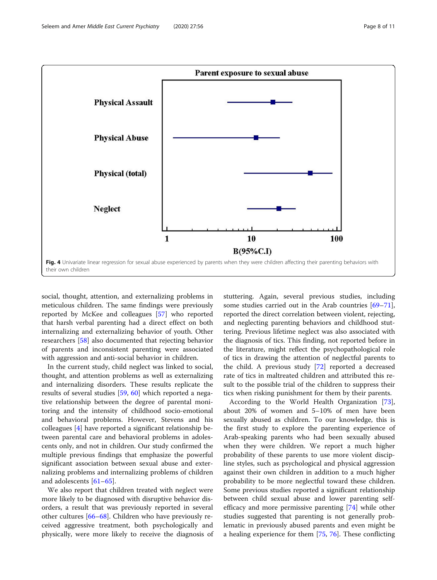<span id="page-7-0"></span>

social, thought, attention, and externalizing problems in meticulous children. The same findings were previously reported by McKee and colleagues [\[57](#page-9-0)] who reported that harsh verbal parenting had a direct effect on both internalizing and externalizing behavior of youth. Other researchers [[58\]](#page-10-0) also documented that rejecting behavior of parents and inconsistent parenting were associated with aggression and anti-social behavior in children.

In the current study, child neglect was linked to social, thought, and attention problems as well as externalizing and internalizing disorders. These results replicate the results of several studies [\[59](#page-10-0), [60](#page-10-0)] which reported a negative relationship between the degree of parental monitoring and the intensity of childhood socio-emotional and behavioral problems. However, Stevens and his colleagues [\[4](#page-8-0)] have reported a significant relationship between parental care and behavioral problems in adolescents only, and not in children. Our study confirmed the multiple previous findings that emphasize the powerful significant association between sexual abuse and externalizing problems and internalizing problems of children and adolescents [\[61](#page-10-0)–[65\]](#page-10-0).

We also report that children treated with neglect were more likely to be diagnosed with disruptive behavior disorders, a result that was previously reported in several other cultures [\[66](#page-10-0)–[68\]](#page-10-0). Children who have previously received aggressive treatment, both psychologically and physically, were more likely to receive the diagnosis of

stuttering. Again, several previous studies, including some studies carried out in the Arab countries [[69](#page-10-0)–[71](#page-10-0)], reported the direct correlation between violent, rejecting, and neglecting parenting behaviors and childhood stuttering. Previous lifetime neglect was also associated with the diagnosis of tics. This finding, not reported before in the literature, might reflect the psychopathological role of tics in drawing the attention of neglectful parents to the child. A previous study [\[72](#page-10-0)] reported a decreased rate of tics in maltreated children and attributed this result to the possible trial of the children to suppress their tics when risking punishment for them by their parents.

According to the World Health Organization [\[73](#page-10-0)], about 20% of women and 5–10% of men have been sexually abused as children. To our knowledge, this is the first study to explore the parenting experience of Arab-speaking parents who had been sexually abused when they were children. We report a much higher probability of these parents to use more violent discipline styles, such as psychological and physical aggression against their own children in addition to a much higher probability to be more neglectful toward these children. Some previous studies reported a significant relationship between child sexual abuse and lower parenting selfefficacy and more permissive parenting [[74\]](#page-10-0) while other studies suggested that parenting is not generally problematic in previously abused parents and even might be a healing experience for them [\[75](#page-10-0), [76](#page-10-0)]. These conflicting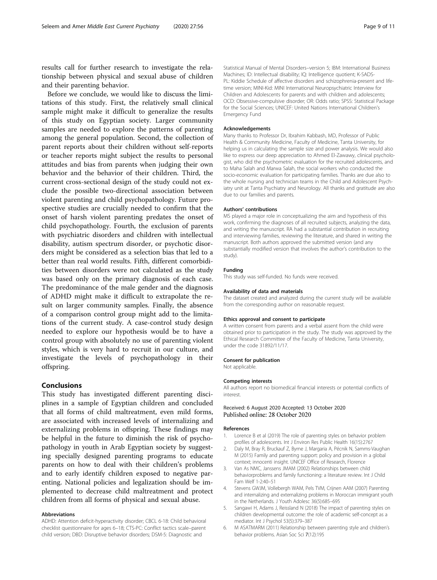<span id="page-8-0"></span>results call for further research to investigate the relationship between physical and sexual abuse of children and their parenting behavior.

Before we conclude, we would like to discuss the limitations of this study. First, the relatively small clinical sample might make it difficult to generalize the results of this study on Egyptian society. Larger community samples are needed to explore the patterns of parenting among the general population. Second, the collection of parent reports about their children without self-reports or teacher reports might subject the results to personal attitudes and bias from parents when judging their own behavior and the behavior of their children. Third, the current cross-sectional design of the study could not exclude the possible two-directional association between violent parenting and child psychopathology. Future prospective studies are crucially needed to confirm that the onset of harsh violent parenting predates the onset of child psychopathology. Fourth, the exclusion of parents with psychiatric disorders and children with intellectual disability, autism spectrum disorder, or psychotic disorders might be considered as a selection bias that led to a better than real world results. Fifth, different comorbidities between disorders were not calculated as the study was based only on the primary diagnosis of each case. The predominance of the male gender and the diagnosis of ADHD might make it difficult to extrapolate the result on larger community samples. Finally, the absence of a comparison control group might add to the limitations of the current study. A case-control study design needed to explore our hypothesis would be to have a control group with absolutely no use of parenting violent styles, which is very hard to recruit in our culture, and investigate the levels of psychopathology in their offspring.

## Conclusions

This study has investigated different parenting disciplines in a sample of Egyptian children and concluded that all forms of child maltreatment, even mild forms, are associated with increased levels of internalizing and externalizing problems in offspring. These findings may be helpful in the future to diminish the risk of psychopathology in youth in Arab Egyptian society by suggesting specially designed parenting programs to educate parents on how to deal with their children's problems and to early identify children exposed to negative parenting. National policies and legalization should be implemented to decrease child maltreatment and protect children from all forms of physical and sexual abuse.

#### Abbreviations

ADHD: Attention deficit-hyperactivity disorder; CBCL 6-18: Child behavioral checklist questionnaire for ages 6–18; CTS-PC: Conflict tactics scale–parent child version; DBD: Disruptive behavior disorders; DSM-5: Diagnostic and

Statistical Manual of Mental Disorders–version 5; IBM: International Business Machines; ID: Intellectual disability; IQ: Intelligence quotient; K-SADS-PL: Kiddie Schedule of affective disorders and schizophrenia-present and lifetime version; MINI-Kid: MINI International Neuropsychiatric Interview for Children and Adolescents for parents and with children and adolescents; OCD: Obsessive-compulsive disorder; OR: Odds ratio; SPSS: Statistical Package for the Social Sciences; UNICEF: United Nations International Children's Emergency Fund

#### Acknowledgements

Many thanks to Professor Dr, Ibrahim Kabbash, MD, Professor of Public Health & Community Medicine, Faculty of Medicine, Tanta University, for helping us in calculating the sample size and power analysis. We would also like to express our deep appreciation to Ahmed El-Zawawy, clinical psychologist, who did the psychometric evaluation for the recruited adolescents, and to Maha Salah and Marwa Salah, the social workers who conducted the socio-economic evaluation for participating families. Thanks are due also to the whole nursing and technician teams in the Child and Adolescent Psychiatry unit at Tanta Psychiatry and Neurology. All thanks and gratitude are also due to our families and parents.

#### Authors' contributions

MS played a major role in conceptualizing the aim and hypothesis of this work, confirming the diagnoses of all recruited subjects, analyzing the data, and writing the manuscript. RA had a substantial contribution in recruiting and interviewing families, reviewing the literature, and shared in writing the manuscript. Both authors approved the submitted version (and any substantially modified version that involves the author's contribution to the study).

#### Funding

This study was self-funded. No funds were received.

#### Availability of data and materials

The dataset created and analyzed during the current study will be available from the corresponding author on reasonable request.

#### Ethics approval and consent to participate

A written consent from parents and a verbal assent from the child were obtained prior to participation in the study. The study was approved by the Ethical Research Committee of the Faculty of Medicine, Tanta University, under the code 31892/11/17.

#### Consent for publication

Not applicable.

#### Competing interests

All authors report no biomedical financial interests or potential conflicts of interest.

#### Received: 6 August 2020 Accepted: 13 October 2020 Published online: 28 October 2020

#### References

- 1. Lorence B et al (2019) The role of parenting styles on behavior problem profiles of adolescents. Int J Environ Res Public Health 16(15):2767
- 2. Daly M, Bray R, Bruckauf Z, Byrne J, Margaria A, Pécnik N, Samms-Vaughan M (2015) Family and parenting support: policy and provision in a global context; innocenti insight. UNICEF Office of Research, Florence
- 3. Van As NMC, Janssens JMAM (2002) Relationships between child behaviorproblems and family functioning: a literature review. Int J Child Fam Welf 1-2:40–51
- 4. Stevens GWJM, Vollebergh WAM, Pels TVM, Crijnen AAM (2007) Parenting and internalizing and externalizing problems in Moroccan immigrant youth in the Netherlands. J Youth Adolesc 36(5):685–695
- 5. Sangawi H, Adams J, Reissland N (2018) The impact of parenting styles on children developmental outcome: the role of academic self-concept as a mediator. Int J Psychol 53(5):379–387
- 6. M ASATMARM (2011) Relationship between parenting style and children's behavior problems. Asian Soc Sci 7(12):195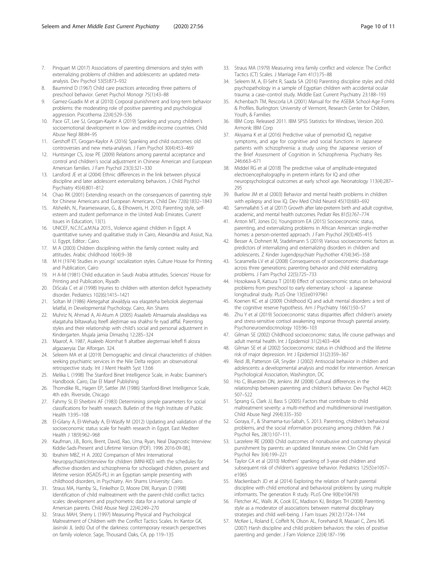- <span id="page-9-0"></span>7. Pinquart M (2017) Associations of parenting dimensions and styles with externalizing problems of children and adolescents: an updated metaanalysis. Dev Psychol 53(5):873–932
- 8. Baumrind D (1967) Child care practices anteceding three patterns of preschool behavior. Genet Psychol Monogr 75(1):43–88
- 9. Gamez-Guadix M et al (2010) Corporal punishment and long-term behavior problems: the moderating role of positive parenting and psychological aggression. Psicothema 22(4):529–536
- 10. Pace GT, Lee SJ, Grogan-Kaylor A (2019) Spanking and young children's socioemotional development in low- and middle-income countries. Child Abuse Negl 88:84–95
- 11. Gershoff ET, Grogan-Kaylor A (2016) Spanking and child outcomes: old controversies and new meta-analyses. J Fam Psychol 30(4):453–469
- 12. Huntsinger CS, Jose PE (2009) Relations among parental acceptance and control and children's social adjustment in Chinese American and European American families. J Fam Psychol 23(3):321–330
- 13. Lansford JE et al (2004) Ethnic differences in the link between physical discipline and later adolescent externalizing behaviors. J Child Psychol Psychiatry 45(4):801–812
- 14. Chao RK (2001) Extending research on the consequences of parenting style for Chinese Americans and European Americans. Child Dev 72(6):1832–1843
- 15. Alsheikh, N., Parameswaran, G., & Elhoweris, H. 2010, Parenting style, selfesteem and student performance in the United Arab Emirates. Current Issues in Education, 13(1).
- 16. UNICEF, N.C.f.C.a.M.N.a 2015., Violence against children in Egypt. A quantitative survey and qualitative study in Cairo, Alexandria and Assiut, N.a. U. Egypt, Editor.: Cairo.
- 17. M A (2003) Children disciplining within the family context: reality and attitudes. Arabic childhood 16(4):9–38
- 18. M H (1974) Studies in youngs' socialization styles. Culture House for Printing and Publication, Cairo
- 19. H A-M (1981) Child education in Saudi Arabia attitudes. Sciences' House for Printing and Publication, Riyadh
- 20. DiScala C et al (1998) Injuries to children with attention deficit hyperactivity disorder. Pediatrics 102(6):1415–1421
- 21. Soltan M (1986) Aletegahat alwaldyia wa elaqateha belsolok alegtemaai lelatfal, in Developmental Psychology. Cairo, Ain Shams
- 22. Muhriz N, Ahmad A, Al-Atum A (2005) Asaalieb Almaamala alwalidaya wa elaqatuha biltawafuq lteefl alejtimae wa shakhsi fe ryad atffal. Parenting styles and their relationship with child's social and personal adjustment in Kindergarten. Mujala jamia Dimashq 12:285–324
- 23. Maarof, A. 1987, Asaleeb Alomhat fi altatbee alegtemaai leltefl fi alosra algazaeryia: Dar Alforqan. 324.
- 24. Seleem MA et al (2019) Demographic and clinical characteristics of children seeking psychiatric services in the Nile Delta region: an observational retrospective study. Int J Ment Health Syst 13:66
- 25. Melika L (1998) The Stanford Binet Intelligence Scale, in Arabic Examiner's Handbook. Cairo, Dar El Maref Publishing
- 26. Thorndike RL, Hagen EP, Sattler JM (1986) Stanford-Binet Intelligence Scale, 4th edn. Riverside, Chicago
- 27. Fahmy SI, El Sherbini AF (1983) Determining simple parameters for social classifications for health research. Bulletin of the High Institute of Public Health 13:95–108
- 28. El-Gilany A, El-Wehady A, El-Wasify M (2012) Updating and validation of the socioeconomic status scale for health research in Egypt. East Mediterr Health J 18(9):962–968
- 29. Kaufman, J.B., Boris, Brent, David, Rao, Uma, Ryan, Neal Diagnostic Interview: Kiddie-Sads-Present and Lifetime Version (PDF). 1996 2016-09-08.].
- 30. Ibrahim MBZ, H A. 2002 Comparison of Mini International NeuropsychiatricInterview for children (MINI-KID) with the schedules for affective disorders and schizophrenia for schoolaged children, present and lifetime version (KSADS-PL) in an Egyptian sample presenting with childhood disorders, in Psychiatry. Ain Shams University: Cairo.
- 31. Straus MA, Hamby SL, Finkelhor D, Moore DW, Runyan D (1998) Identification of child maltreatment with the parent-child conflict tactics scales: development and psychometric data for a national sample of American parents. Child Abuse Negl 22(4):249–270
- 32. Straus MAH, Sherry L (1997) Measuring Physical and Psychological Maltreatment of Children with the Conflict Tactics Scales. In: Kantor GK, Jasinski JL (eds) Out of the darkness: contemporary research perspectives on family violence. Sage, Thousand Oaks, CA, pp 119–135
- 33. Straus MA (1979) Measuring intra family conflict and violence: The Conflict Tactics (CT) Scales. J Marriage Fam 41(1):75–88
- 34. Seleem M, A, El-Seht R, Saada SA (2016) Parenting discipline styles and child psychopathology in a sample of Egyptian children with accidental ocular trauma: a case–control study. Middle East Current Psychiatry 23:188–193
- 35. Achenbach TM, Rescorla LA (2001) Manual for the ASEBA School-Age Forms & Profiles. Burlington: University of Vermont, Research Center for Children, Youth, & Families
- 36. IBM Corp. Released 2011. IBM SPSS Statistics for Windows, Version 20.0. Armonk: IBM Corp
- 37. Akiyama K et al (2016) Predictive value of premorbid IQ, negative symptoms, and age for cognitive and social functions in Japanese patients with schizophrenia: a study using the Japanese version of the Brief Assessment of Cognition in Schizophrenia. Psychiatry Res 246:663–671
- 38. Middel RG et al (2018) The predictive value of amplitude-integrated electroencephalography in preterm infants for IQ and other neuropsychological outcomes at early school age. Neonatology 113(4):287– 295
- 39. Buelow JM et al (2003) Behavior and mental health problems in children with epilepsy and low IQ. Dev Med Child Neurol 45(10):683–692
- 40. Sammallahti S et al (2017) Growth after late-preterm birth and adult cognitive, academic, and mental health outcomes. Pediatr Res 81(5):767–774
- 41. Anton MT, Jones DJ, Youngstrom EA (2015) Socioeconomic status, parenting, and externalizing problems in African American single-mother homes: a person-oriented approach. J Fam Psychol 29(3):405-415
- 42. Besser A, Dohnert M, Stadelmann S (2019) Various socioeconomic factors as predictors of internalizing and externalizing disorders in children and adolescents. Z Kinder Jugendpsychiatr Psychother 47(4):345–358
- 43. Scaramella LV et al (2008) Consequences of socioeconomic disadvantage across three generations: parenting behavior and child externalizing problems. J Fam Psychol 22(5):725–733
- 44. Hosokawa R, Katsura T (2018) Effect of socioeconomic status on behavioral problems from preschool to early elementary school - a Japanese longitudinal study. PLoS One 13(5):e0197961
- 45. Koenen KC et al (2009) Childhood IQ and adult mental disorders: a test of the cognitive reserve hypothesis. Am J Psychiatry 166(1):50–57
- 46. Zhu Y et al (2019) Socioeconomic status disparities affect children's anxiety and stress-sensitive cortisol awakening response through parental anxiety. Psychoneuroendocrinology 103:96–103
- 47. Gilman SE (2002) Childhood socioeconomic status, life course pathways and adult mental health. Int J Epidemiol 31(2):403–404
- 48. Gilman SE et al (2002) Socioeconomic status in childhood and the lifetime risk of major depression. Int J Epidemiol 31(2):359–367
- 49. Reid JB, Patterson GR, Snyder J (2002) Antisocial behavior in children and adolescents: a developmental analysis and model for intervention. American Psychological Association, Washington, DC
- 50. Ho C, Bluestein DN, Jenkins JM (2008) Cultural differences in the relationship between parenting and children's behavior. Dev Psychol 44(2): 507–522
- 51. Sprang G, Clark JJ, Bass S (2005) Factors that contribute to child maltreatment severity: a multi-method and multidimensional investigation. Child Abuse Negl 29(4):335–350
- 52. Goraya, F., & Shamama-tus-Sabah, S. 2013. Parenting, children's behavioral problems, and the social information processing among children. Pak J Psychol Res, 28(1):107–111.
- 53. Larzelere RE (2000) Child outcomes of nonabusive and customary physical punishment by parents: an updated literature review. Clin Child Fam Psychol Rev 3(4):199–221
- 54. Taylor CA et al (2010) Mothers' spanking of 3-year-old children and subsequent risk of children's aggressive behavior. Pediatrics 125(5):e1057e1065
- 55. Mackenbach JD et al (2014) Exploring the relation of harsh parental discipline with child emotional and behavioral problems by using multiple informants. The generation R study. PLoS One 9(8):e104793
- 56. Fletcher AC, Walls JK, Cook EC, Madison KJ, Bridges TH (2008) Parenting style as a moderator of associations between maternal disciplinary strategies and child well-being. J Fam Issues 29(12):1724–1744
- 57. McKee L, Roland E, Coffelt N, Olson AL, Forehand R, Massari C, Zens MS (2007) Harsh discipline and child problem behaviors: the roles of positive parenting and gender. J Fam Violence 22(4):187–196